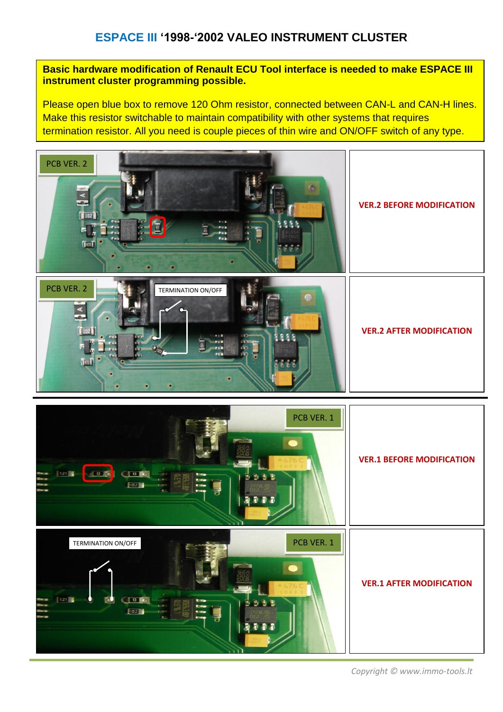### **ESPACE III '1998-'2002 VALEO INSTRUMENT CLUSTER**

#### **Basic hardware modification of Renault ECU Tool interface is needed to make ESPACE III instrument cluster programming possible.**

Please open blue box to remove 120 Ohm resistor, connected between CAN-L and CAN-H lines. Make this resistor switchable to maintain compatibility with other systems that requires termination resistor. All you need is couple pieces of thin wire and ON/OFF switch of any type.





*Copyright © www.immo-tools.lt*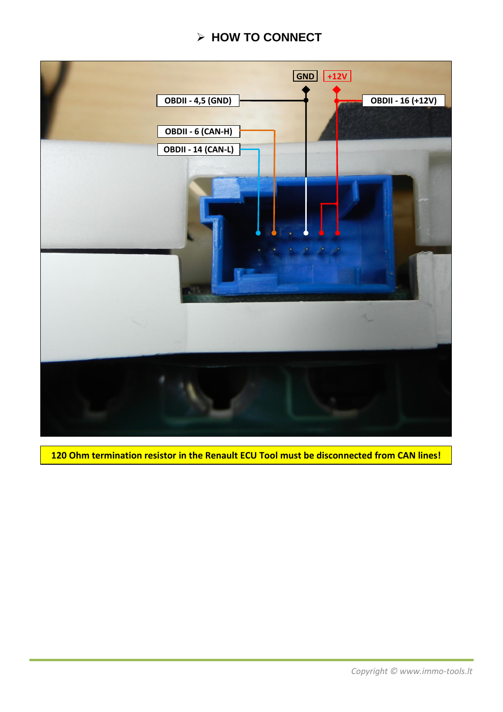# **HOW TO CONNECT**



**120 Ohm termination resistor in the Renault ECU Tool must be disconnected from CAN lines!**